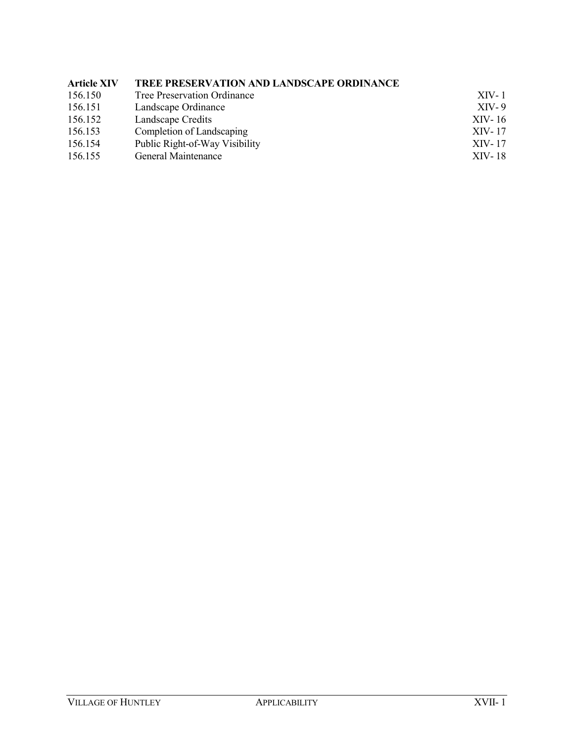# **Article XIV TREE PRESERVATION AND LANDSCAPE ORDINANCE**

| 156.150 | Tree Preservation Ordinance    | $XIV-1$ |
|---------|--------------------------------|---------|
| 156.151 | Landscape Ordinance            | $XIV-9$ |
| 156.152 | Landscape Credits              | XIV-16  |
| 156.153 | Completion of Landscaping      | XIV-17  |
| 156.154 | Public Right-of-Way Visibility | XIV-17  |
| 156.155 | General Maintenance            | XIV-18  |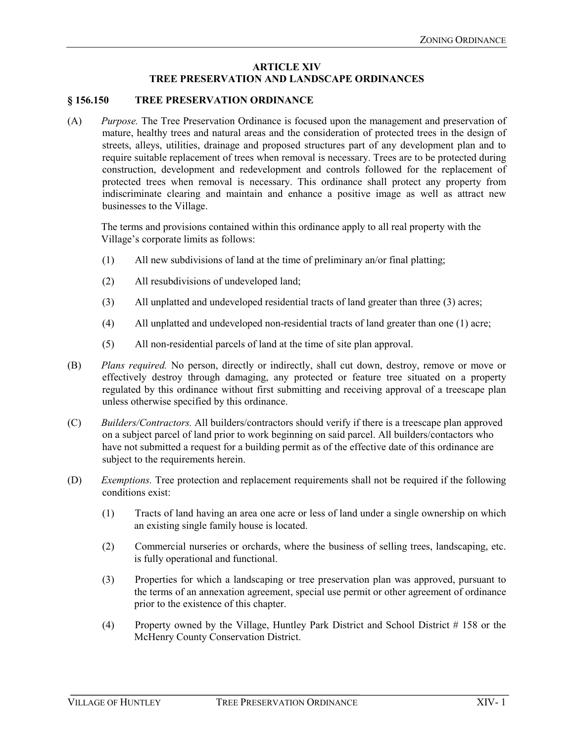# **ARTICLE XIV TREE PRESERVATION AND LANDSCAPE ORDINANCES**

#### **§ 156.150 TREE PRESERVATION ORDINANCE**

(A) *Purpose.* The Tree Preservation Ordinance is focused upon the management and preservation of mature, healthy trees and natural areas and the consideration of protected trees in the design of streets, alleys, utilities, drainage and proposed structures part of any development plan and to require suitable replacement of trees when removal is necessary. Trees are to be protected during construction, development and redevelopment and controls followed for the replacement of protected trees when removal is necessary. This ordinance shall protect any property from indiscriminate clearing and maintain and enhance a positive image as well as attract new businesses to the Village.

The terms and provisions contained within this ordinance apply to all real property with the Village's corporate limits as follows:

- (1) All new subdivisions of land at the time of preliminary an/or final platting;
- (2) All resubdivisions of undeveloped land;
- (3) All unplatted and undeveloped residential tracts of land greater than three (3) acres;
- (4) All unplatted and undeveloped non-residential tracts of land greater than one (1) acre;
- (5) All non-residential parcels of land at the time of site plan approval.
- (B) *Plans required.* No person, directly or indirectly, shall cut down, destroy, remove or move or effectively destroy through damaging, any protected or feature tree situated on a property regulated by this ordinance without first submitting and receiving approval of a treescape plan unless otherwise specified by this ordinance.
- (C) *Builders/Contractors.* All builders/contractors should verify if there is a treescape plan approved on a subject parcel of land prior to work beginning on said parcel. All builders/contactors who have not submitted a request for a building permit as of the effective date of this ordinance are subject to the requirements herein.
- (D) *Exemptions.* Tree protection and replacement requirements shall not be required if the following conditions exist:
	- (1) Tracts of land having an area one acre or less of land under a single ownership on which an existing single family house is located.
	- (2) Commercial nurseries or orchards, where the business of selling trees, landscaping, etc. is fully operational and functional.
	- (3) Properties for which a landscaping or tree preservation plan was approved, pursuant to the terms of an annexation agreement, special use permit or other agreement of ordinance prior to the existence of this chapter.
	- (4) Property owned by the Village, Huntley Park District and School District # 158 or the McHenry County Conservation District.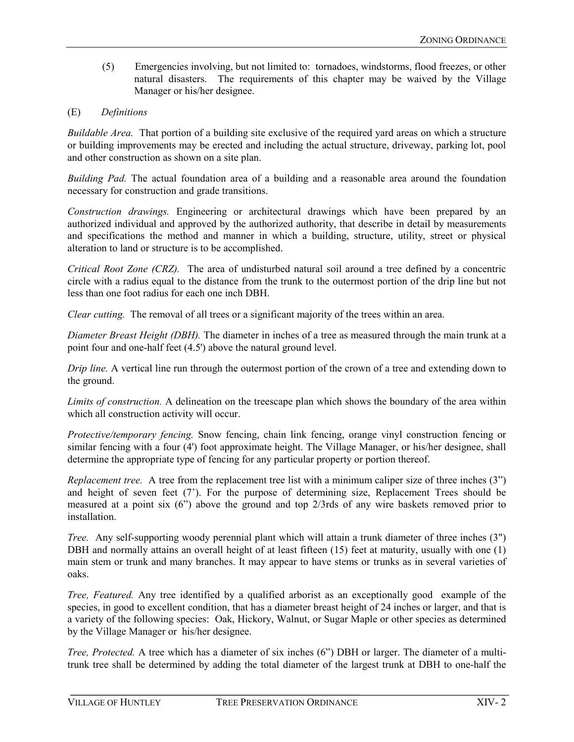(5) Emergencies involving, but not limited to: tornadoes, windstorms, flood freezes, or other natural disasters. The requirements of this chapter may be waived by the Village Manager or his/her designee.

# (E) *Definitions*

*Buildable Area.* That portion of a building site exclusive of the required yard areas on which a structure or building improvements may be erected and including the actual structure, driveway, parking lot, pool and other construction as shown on a site plan.

*Building Pad.* The actual foundation area of a building and a reasonable area around the foundation necessary for construction and grade transitions.

*Construction drawings.* Engineering or architectural drawings which have been prepared by an authorized individual and approved by the authorized authority, that describe in detail by measurements and specifications the method and manner in which a building, structure, utility, street or physical alteration to land or structure is to be accomplished.

*Critical Root Zone (CRZ).* The area of undisturbed natural soil around a tree defined by a concentric circle with a radius equal to the distance from the trunk to the outermost portion of the drip line but not less than one foot radius for each one inch DBH.

*Clear cutting.* The removal of all trees or a significant majority of the trees within an area.

*Diameter Breast Height (DBH).* The diameter in inches of a tree as measured through the main trunk at a point four and one-half feet (4.5') above the natural ground level.

*Drip line.* A vertical line run through the outermost portion of the crown of a tree and extending down to the ground.

*Limits of construction.* A delineation on the treescape plan which shows the boundary of the area within which all construction activity will occur.

*Protective/temporary fencing.* Snow fencing, chain link fencing, orange vinyl construction fencing or similar fencing with a four (4') foot approximate height. The Village Manager, or his/her designee, shall determine the appropriate type of fencing for any particular property or portion thereof.

*Replacement tree.* A tree from the replacement tree list with a minimum caliper size of three inches (3") and height of seven feet (7'). For the purpose of determining size, Replacement Trees should be measured at a point six (6") above the ground and top 2/3rds of any wire baskets removed prior to installation.

*Tree.* Any self-supporting woody perennial plant which will attain a trunk diameter of three inches (3") DBH and normally attains an overall height of at least fifteen (15) feet at maturity, usually with one (1) main stem or trunk and many branches. It may appear to have stems or trunks as in several varieties of oaks.

*Tree, Featured.* Any tree identified by a qualified arborist as an exceptionally good example of the species, in good to excellent condition, that has a diameter breast height of 24 inches or larger, and that is a variety of the following species: Oak, Hickory, Walnut, or Sugar Maple or other species as determined by the Village Manager or his/her designee.

*Tree, Protected.* A tree which has a diameter of six inches (6") DBH or larger. The diameter of a multitrunk tree shall be determined by adding the total diameter of the largest trunk at DBH to one-half the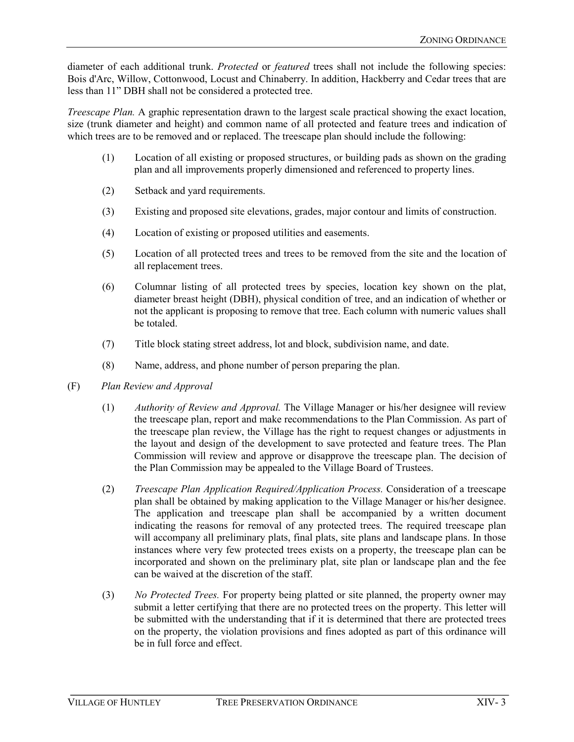diameter of each additional trunk. *Protected* or *featured* trees shall not include the following species: Bois d'Arc, Willow, Cottonwood, Locust and Chinaberry. In addition, Hackberry and Cedar trees that are less than 11" DBH shall not be considered a protected tree.

*Treescape Plan.* A graphic representation drawn to the largest scale practical showing the exact location, size (trunk diameter and height) and common name of all protected and feature trees and indication of which trees are to be removed and or replaced. The treescape plan should include the following:

- (1) Location of all existing or proposed structures, or building pads as shown on the grading plan and all improvements properly dimensioned and referenced to property lines.
- (2) Setback and yard requirements.
- (3) Existing and proposed site elevations, grades, major contour and limits of construction.
- (4) Location of existing or proposed utilities and easements.
- (5) Location of all protected trees and trees to be removed from the site and the location of all replacement trees.
- (6) Columnar listing of all protected trees by species, location key shown on the plat, diameter breast height (DBH), physical condition of tree, and an indication of whether or not the applicant is proposing to remove that tree. Each column with numeric values shall be totaled.
- (7) Title block stating street address, lot and block, subdivision name, and date.
- (8) Name, address, and phone number of person preparing the plan.
- (F) *Plan Review and Approval*
	- (1) *Authority of Review and Approval.* The Village Manager or his/her designee will review the treescape plan, report and make recommendations to the Plan Commission. As part of the treescape plan review, the Village has the right to request changes or adjustments in the layout and design of the development to save protected and feature trees. The Plan Commission will review and approve or disapprove the treescape plan. The decision of the Plan Commission may be appealed to the Village Board of Trustees.
	- (2) *Treescape Plan Application Required/Application Process.* Consideration of a treescape plan shall be obtained by making application to the Village Manager or his/her designee. The application and treescape plan shall be accompanied by a written document indicating the reasons for removal of any protected trees. The required treescape plan will accompany all preliminary plats, final plats, site plans and landscape plans. In those instances where very few protected trees exists on a property, the treescape plan can be incorporated and shown on the preliminary plat, site plan or landscape plan and the fee can be waived at the discretion of the staff.
	- (3) *No Protected Trees.* For property being platted or site planned, the property owner may submit a letter certifying that there are no protected trees on the property. This letter will be submitted with the understanding that if it is determined that there are protected trees on the property, the violation provisions and fines adopted as part of this ordinance will be in full force and effect.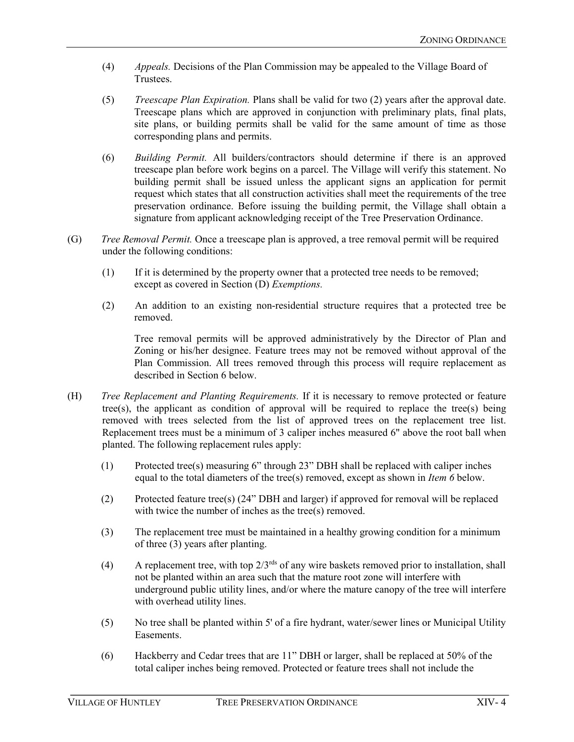- (4) *Appeals.* Decisions of the Plan Commission may be appealed to the Village Board of Trustees.
- (5) *Treescape Plan Expiration.* Plans shall be valid for two (2) years after the approval date. Treescape plans which are approved in conjunction with preliminary plats, final plats, site plans, or building permits shall be valid for the same amount of time as those corresponding plans and permits.
- (6) *Building Permit.* All builders/contractors should determine if there is an approved treescape plan before work begins on a parcel. The Village will verify this statement. No building permit shall be issued unless the applicant signs an application for permit request which states that all construction activities shall meet the requirements of the tree preservation ordinance. Before issuing the building permit, the Village shall obtain a signature from applicant acknowledging receipt of the Tree Preservation Ordinance.
- (G) *Tree Removal Permit.* Once a treescape plan is approved, a tree removal permit will be required under the following conditions:
	- (1) If it is determined by the property owner that a protected tree needs to be removed; except as covered in Section (D) *Exemptions.*
	- (2) An addition to an existing non-residential structure requires that a protected tree be removed.

Tree removal permits will be approved administratively by the Director of Plan and Zoning or his/her designee. Feature trees may not be removed without approval of the Plan Commission. All trees removed through this process will require replacement as described in Section 6 below.

- (H) *Tree Replacement and Planting Requirements.* If it is necessary to remove protected or feature tree(s), the applicant as condition of approval will be required to replace the tree(s) being removed with trees selected from the list of approved trees on the replacement tree list. Replacement trees must be a minimum of 3 caliper inches measured 6" above the root ball when planted. The following replacement rules apply:
	- (1) Protected tree(s) measuring 6" through 23" DBH shall be replaced with caliper inches equal to the total diameters of the tree(s) removed, except as shown in *Item 6* below.
	- (2) Protected feature tree(s) (24" DBH and larger) if approved for removal will be replaced with twice the number of inches as the tree(s) removed.
	- (3) The replacement tree must be maintained in a healthy growing condition for a minimum of three (3) years after planting.
	- (4) A replacement tree, with top  $2/3^{rds}$  of any wire baskets removed prior to installation, shall not be planted within an area such that the mature root zone will interfere with underground public utility lines, and/or where the mature canopy of the tree will interfere with overhead utility lines.
	- (5) No tree shall be planted within 5' of a fire hydrant, water/sewer lines or Municipal Utility Easements.
	- (6) Hackberry and Cedar trees that are 11" DBH or larger, shall be replaced at 50% of the total caliper inches being removed. Protected or feature trees shall not include the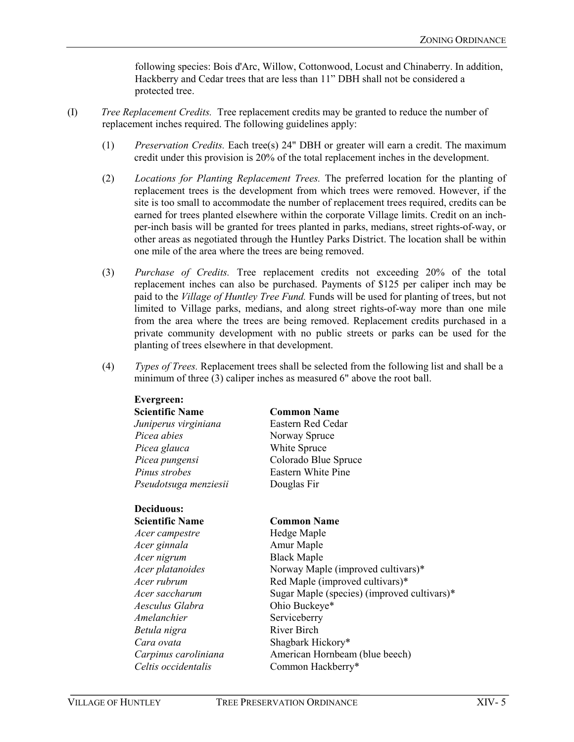following species: Bois d'Arc, Willow, Cottonwood, Locust and Chinaberry. In addition, Hackberry and Cedar trees that are less than 11" DBH shall not be considered a protected tree.

- (I) *Tree Replacement Credits.* Tree replacement credits may be granted to reduce the number of replacement inches required. The following guidelines apply:
	- (1) *Preservation Credits.* Each tree(s) 24" DBH or greater will earn a credit. The maximum credit under this provision is 20% of the total replacement inches in the development.
	- (2) *Locations for Planting Replacement Trees.* The preferred location for the planting of replacement trees is the development from which trees were removed. However, if the site is too small to accommodate the number of replacement trees required, credits can be earned for trees planted elsewhere within the corporate Village limits. Credit on an inchper-inch basis will be granted for trees planted in parks, medians, street rights-of-way, or other areas as negotiated through the Huntley Parks District. The location shall be within one mile of the area where the trees are being removed.
	- (3) *Purchase of Credits.* Tree replacement credits not exceeding 20% of the total replacement inches can also be purchased. Payments of \$125 per caliper inch may be paid to the *Village of Huntley Tree Fund.* Funds will be used for planting of trees, but not limited to Village parks, medians, and along street rights-of-way more than one mile from the area where the trees are being removed. Replacement credits purchased in a private community development with no public streets or parks can be used for the planting of trees elsewhere in that development.
	- (4) *Types of Trees.* Replacement trees shall be selected from the following list and shall be a minimum of three (3) caliper inches as measured 6" above the root ball.

| <b>Evergreen:</b>      |                                             |  |  |
|------------------------|---------------------------------------------|--|--|
| <b>Scientific Name</b> | <b>Common Name</b>                          |  |  |
| Juniperus virginiana   | Eastern Red Cedar                           |  |  |
| Picea abies            | Norway Spruce                               |  |  |
| Picea glauca           | White Spruce                                |  |  |
| Picea pungensi         | Colorado Blue Spruce                        |  |  |
| Pinus strobes          | Eastern White Pine                          |  |  |
| Pseudotsuga menziesii  | Douglas Fir                                 |  |  |
| Deciduous:             |                                             |  |  |
| <b>Scientific Name</b> | <b>Common Name</b>                          |  |  |
| Acer campestre         | Hedge Maple                                 |  |  |
| Acer ginnala           | Amur Maple                                  |  |  |
| Acer nigrum            | <b>Black Maple</b>                          |  |  |
| Acer platanoides       | Norway Maple (improved cultivars)*          |  |  |
| Acer rubrum            | Red Maple (improved cultivars)*             |  |  |
| Acer saccharum         | Sugar Maple (species) (improved cultivars)* |  |  |
| Aesculus Glabra        | Ohio Buckeye*                               |  |  |
| Amelanchier            | Serviceberry                                |  |  |
| Betula nigra           | <b>River Birch</b>                          |  |  |
| Cara ovata             | Shagbark Hickory*                           |  |  |
| Carpinus caroliniana   | American Hornbeam (blue beech)              |  |  |
| Celtis occidentalis    | Common Hackberry*                           |  |  |

**Evergreen:**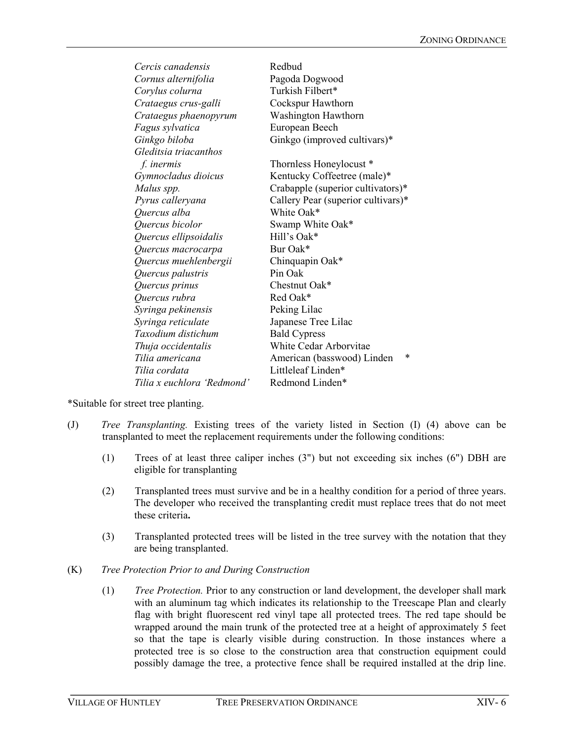| Cercis canadensis          | Redbud                             |  |
|----------------------------|------------------------------------|--|
| Cornus alternifolia        | Pagoda Dogwood                     |  |
| Corylus colurna            | Turkish Filbert*                   |  |
| Crataegus crus-galli       | Cockspur Hawthorn                  |  |
| Crataegus phaenopyrum      | Washington Hawthorn                |  |
| Fagus sylvatica            | European Beech                     |  |
| Ginkgo biloba              | Ginkgo (improved cultivars)*       |  |
| Gleditsia triacanthos      |                                    |  |
| f. inermis                 | Thornless Honeylocust *            |  |
| Gymnocladus dioicus        | Kentucky Coffeetree (male)*        |  |
| Malus spp.                 | Crabapple (superior cultivators)*  |  |
| Pyrus calleryana           | Callery Pear (superior cultivars)* |  |
| Quercus alba               | White Oak*                         |  |
| Quercus bicolor            | Swamp White Oak*                   |  |
| Quercus ellipsoidalis      | Hill's Oak*                        |  |
| Quercus macrocarpa         | Bur Oak*                           |  |
| Quercus muehlenbergii      | Chinquapin Oak*                    |  |
| Quercus palustris          | Pin Oak                            |  |
| Quercus prinus             | Chestnut Oak*                      |  |
| Quercus rubra              | Red Oak*                           |  |
| Syringa pekinensis         | Peking Lilac                       |  |
| Syringa reticulate         | Japanese Tree Lilac                |  |
| Taxodium distichum         | <b>Bald Cypress</b>                |  |
| Thuja occidentalis         | White Cedar Arborvitae             |  |
| Tilia americana            | *<br>American (basswood) Linden    |  |
| Tilia cordata              | Littleleaf Linden*                 |  |
| Tilia x euchlora 'Redmond' | Redmond Linden*                    |  |

\*Suitable for street tree planting.

- (J) *Tree Transplanting.* Existing trees of the variety listed in Section (I) (4) above can be transplanted to meet the replacement requirements under the following conditions:
	- (1) Trees of at least three caliper inches (3") but not exceeding six inches (6") DBH are eligible for transplanting
	- (2) Transplanted trees must survive and be in a healthy condition for a period of three years. The developer who received the transplanting credit must replace trees that do not meet these criteria**.**
	- (3) Transplanted protected trees will be listed in the tree survey with the notation that they are being transplanted.
- (K) *Tree Protection Prior to and During Construction*
	- (1) *Tree Protection.* Prior to any construction or land development, the developer shall mark with an aluminum tag which indicates its relationship to the Treescape Plan and clearly flag with bright fluorescent red vinyl tape all protected trees. The red tape should be wrapped around the main trunk of the protected tree at a height of approximately 5 feet so that the tape is clearly visible during construction. In those instances where a protected tree is so close to the construction area that construction equipment could possibly damage the tree, a protective fence shall be required installed at the drip line.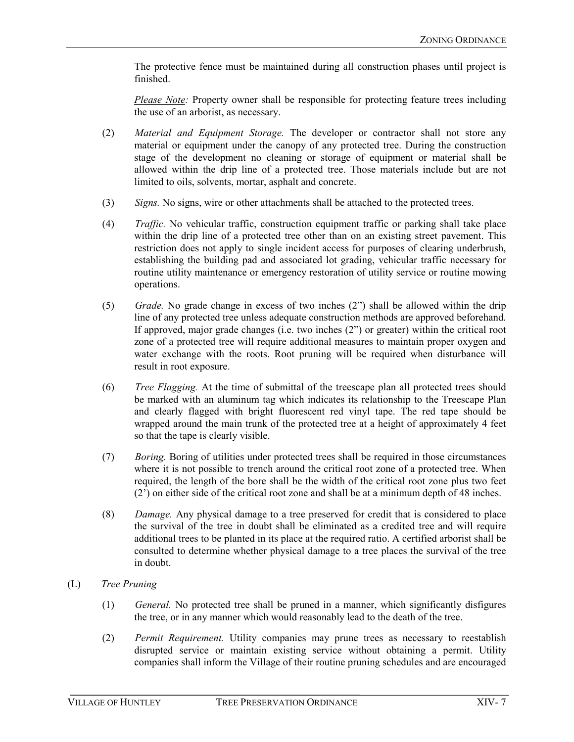The protective fence must be maintained during all construction phases until project is finished.

*Please Note:* Property owner shall be responsible for protecting feature trees including the use of an arborist, as necessary.

- (2) *Material and Equipment Storage.* The developer or contractor shall not store any material or equipment under the canopy of any protected tree. During the construction stage of the development no cleaning or storage of equipment or material shall be allowed within the drip line of a protected tree. Those materials include but are not limited to oils, solvents, mortar, asphalt and concrete.
- (3) *Signs.* No signs, wire or other attachments shall be attached to the protected trees.
- (4) *Traffic.* No vehicular traffic, construction equipment traffic or parking shall take place within the drip line of a protected tree other than on an existing street pavement. This restriction does not apply to single incident access for purposes of clearing underbrush, establishing the building pad and associated lot grading, vehicular traffic necessary for routine utility maintenance or emergency restoration of utility service or routine mowing operations.
- (5) *Grade.* No grade change in excess of two inches (2") shall be allowed within the drip line of any protected tree unless adequate construction methods are approved beforehand. If approved, major grade changes (i.e. two inches (2") or greater) within the critical root zone of a protected tree will require additional measures to maintain proper oxygen and water exchange with the roots. Root pruning will be required when disturbance will result in root exposure.
- (6) *Tree Flagging.* At the time of submittal of the treescape plan all protected trees should be marked with an aluminum tag which indicates its relationship to the Treescape Plan and clearly flagged with bright fluorescent red vinyl tape. The red tape should be wrapped around the main trunk of the protected tree at a height of approximately 4 feet so that the tape is clearly visible.
- (7) *Boring.* Boring of utilities under protected trees shall be required in those circumstances where it is not possible to trench around the critical root zone of a protected tree. When required, the length of the bore shall be the width of the critical root zone plus two feet (2') on either side of the critical root zone and shall be at a minimum depth of 48 inches.
- (8) *Damage.* Any physical damage to a tree preserved for credit that is considered to place the survival of the tree in doubt shall be eliminated as a credited tree and will require additional trees to be planted in its place at the required ratio. A certified arborist shall be consulted to determine whether physical damage to a tree places the survival of the tree in doubt.
- (L) *Tree Pruning*
	- (1) *General.* No protected tree shall be pruned in a manner, which significantly disfigures the tree, or in any manner which would reasonably lead to the death of the tree.
	- (2) *Permit Requirement.* Utility companies may prune trees as necessary to reestablish disrupted service or maintain existing service without obtaining a permit. Utility companies shall inform the Village of their routine pruning schedules and are encouraged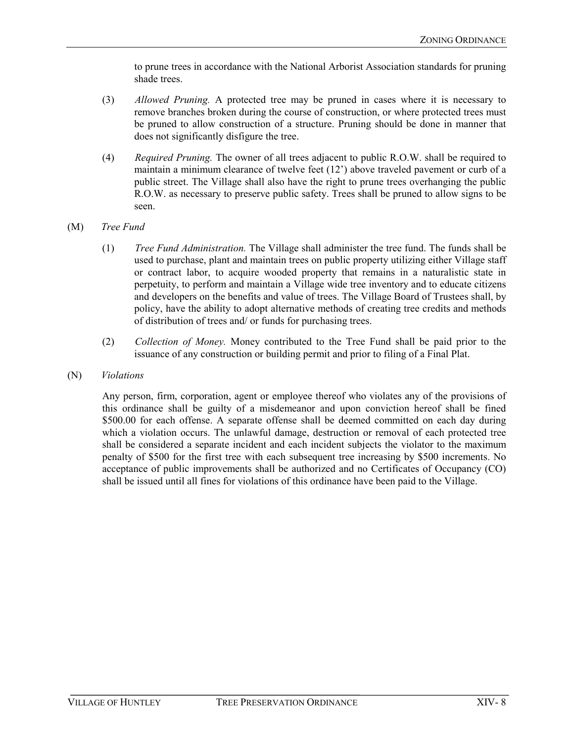to prune trees in accordance with the National Arborist Association standards for pruning shade trees.

- (3) *Allowed Pruning.* A protected tree may be pruned in cases where it is necessary to remove branches broken during the course of construction, or where protected trees must be pruned to allow construction of a structure. Pruning should be done in manner that does not significantly disfigure the tree.
- (4) *Required Pruning.* The owner of all trees adjacent to public R.O.W. shall be required to maintain a minimum clearance of twelve feet (12') above traveled pavement or curb of a public street. The Village shall also have the right to prune trees overhanging the public R.O.W. as necessary to preserve public safety. Trees shall be pruned to allow signs to be seen.
- (M) *Tree Fund*
	- (1) *Tree Fund Administration.* The Village shall administer the tree fund. The funds shall be used to purchase, plant and maintain trees on public property utilizing either Village staff or contract labor, to acquire wooded property that remains in a naturalistic state in perpetuity, to perform and maintain a Village wide tree inventory and to educate citizens and developers on the benefits and value of trees. The Village Board of Trustees shall, by policy, have the ability to adopt alternative methods of creating tree credits and methods of distribution of trees and/ or funds for purchasing trees.
	- (2) *Collection of Money.* Money contributed to the Tree Fund shall be paid prior to the issuance of any construction or building permit and prior to filing of a Final Plat.
- (N) *Violations*

Any person, firm, corporation, agent or employee thereof who violates any of the provisions of this ordinance shall be guilty of a misdemeanor and upon conviction hereof shall be fined \$500.00 for each offense. A separate offense shall be deemed committed on each day during which a violation occurs. The unlawful damage, destruction or removal of each protected tree shall be considered a separate incident and each incident subjects the violator to the maximum penalty of \$500 for the first tree with each subsequent tree increasing by \$500 increments. No acceptance of public improvements shall be authorized and no Certificates of Occupancy (CO) shall be issued until all fines for violations of this ordinance have been paid to the Village.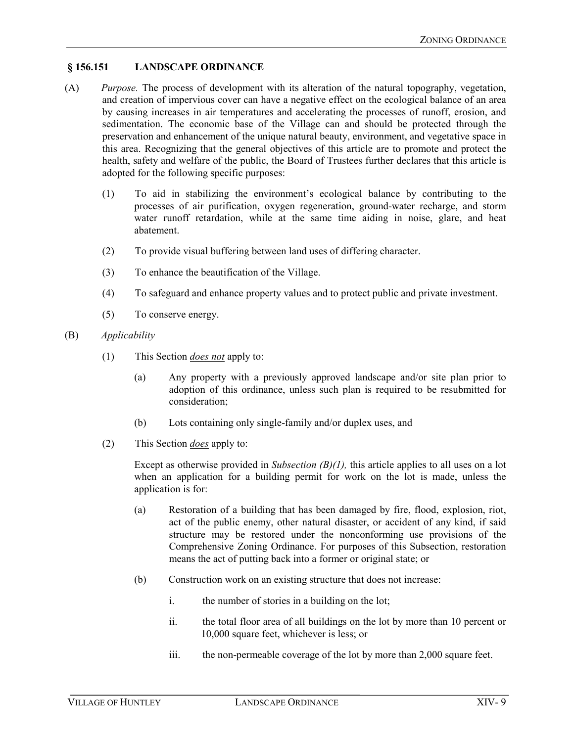# **§ 156.151 LANDSCAPE ORDINANCE**

- (A) *Purpose.* The process of development with its alteration of the natural topography, vegetation, and creation of impervious cover can have a negative effect on the ecological balance of an area by causing increases in air temperatures and accelerating the processes of runoff, erosion, and sedimentation. The economic base of the Village can and should be protected through the preservation and enhancement of the unique natural beauty, environment, and vegetative space in this area. Recognizing that the general objectives of this article are to promote and protect the health, safety and welfare of the public, the Board of Trustees further declares that this article is adopted for the following specific purposes:
	- (1) To aid in stabilizing the environment's ecological balance by contributing to the processes of air purification, oxygen regeneration, ground-water recharge, and storm water runoff retardation, while at the same time aiding in noise, glare, and heat abatement.
	- (2) To provide visual buffering between land uses of differing character.
	- (3) To enhance the beautification of the Village.
	- (4) To safeguard and enhance property values and to protect public and private investment.
	- (5) To conserve energy.
- (B) *Applicability*
	- (1) This Section *does not* apply to:
		- (a) Any property with a previously approved landscape and/or site plan prior to adoption of this ordinance, unless such plan is required to be resubmitted for consideration;
		- (b) Lots containing only single-family and/or duplex uses, and
	- (2) This Section *does* apply to:

Except as otherwise provided in *Subsection (B)(1)*, this article applies to all uses on a lot when an application for a building permit for work on the lot is made, unless the application is for:

- (a) Restoration of a building that has been damaged by fire, flood, explosion, riot, act of the public enemy, other natural disaster, or accident of any kind, if said structure may be restored under the nonconforming use provisions of the Comprehensive Zoning Ordinance. For purposes of this Subsection, restoration means the act of putting back into a former or original state; or
- (b) Construction work on an existing structure that does not increase:
	- i. the number of stories in a building on the lot;
	- ii. the total floor area of all buildings on the lot by more than 10 percent or 10,000 square feet, whichever is less; or
	- iii. the non-permeable coverage of the lot by more than 2,000 square feet.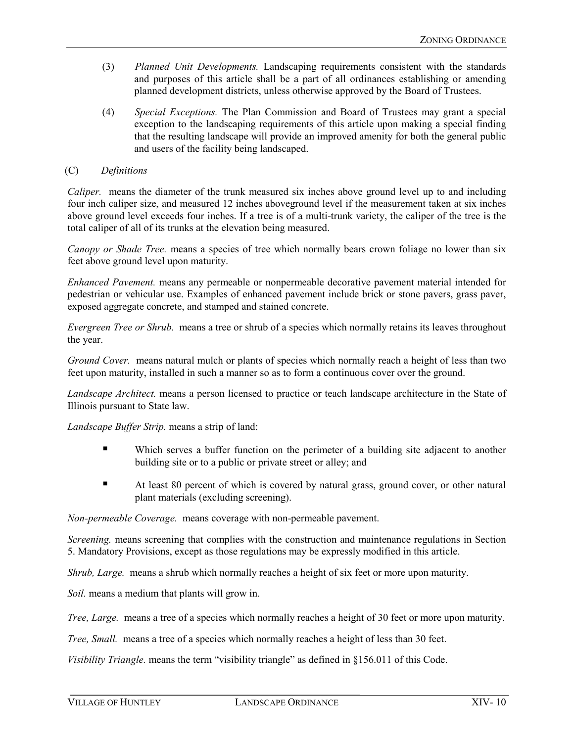- (3) *Planned Unit Developments.* Landscaping requirements consistent with the standards and purposes of this article shall be a part of all ordinances establishing or amending planned development districts, unless otherwise approved by the Board of Trustees.
- (4) *Special Exceptions.* The Plan Commission and Board of Trustees may grant a special exception to the landscaping requirements of this article upon making a special finding that the resulting landscape will provide an improved amenity for both the general public and users of the facility being landscaped.

#### (C) *Definitions*

*Caliper.* means the diameter of the trunk measured six inches above ground level up to and including four inch caliper size, and measured 12 inches aboveground level if the measurement taken at six inches above ground level exceeds four inches. If a tree is of a multi-trunk variety, the caliper of the tree is the total caliper of all of its trunks at the elevation being measured.

*Canopy or Shade Tree.* means a species of tree which normally bears crown foliage no lower than six feet above ground level upon maturity.

*Enhanced Pavement.* means any permeable or nonpermeable decorative pavement material intended for pedestrian or vehicular use. Examples of enhanced pavement include brick or stone pavers, grass paver, exposed aggregate concrete, and stamped and stained concrete.

*Evergreen Tree or Shrub.* means a tree or shrub of a species which normally retains its leaves throughout the year.

*Ground Cover.* means natural mulch or plants of species which normally reach a height of less than two feet upon maturity, installed in such a manner so as to form a continuous cover over the ground.

*Landscape Architect.* means a person licensed to practice or teach landscape architecture in the State of Illinois pursuant to State law.

*Landscape Buffer Strip.* means a strip of land:

- Which serves a buffer function on the perimeter of a building site adjacent to another building site or to a public or private street or alley; and
- At least 80 percent of which is covered by natural grass, ground cover, or other natural plant materials (excluding screening).

*Non-permeable Coverage.* means coverage with non-permeable pavement.

*Screening.* means screening that complies with the construction and maintenance regulations in Section 5. Mandatory Provisions, except as those regulations may be expressly modified in this article.

*Shrub, Large.* means a shrub which normally reaches a height of six feet or more upon maturity.

*Soil.* means a medium that plants will grow in.

*Tree, Large.* means a tree of a species which normally reaches a height of 30 feet or more upon maturity.

*Tree, Small.* means a tree of a species which normally reaches a height of less than 30 feet.

*Visibility Triangle.* means the term "visibility triangle" as defined in §156.011 of this Code.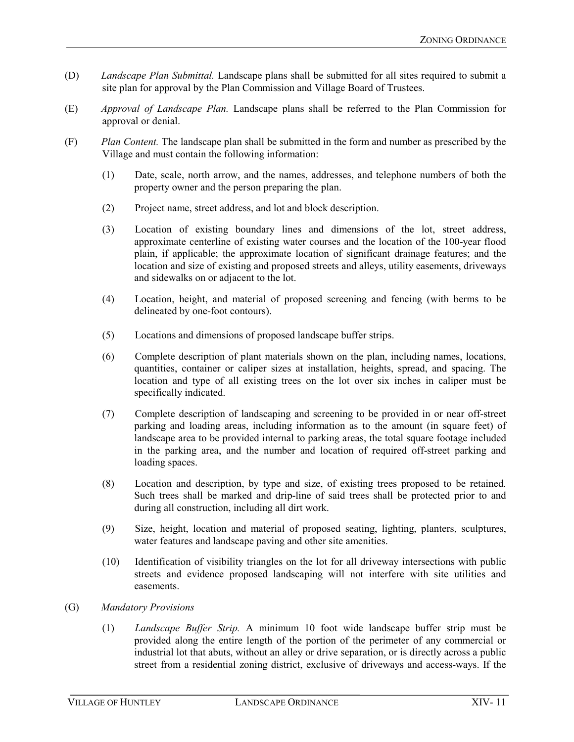- (D) *Landscape Plan Submittal.* Landscape plans shall be submitted for all sites required to submit a site plan for approval by the Plan Commission and Village Board of Trustees.
- (E) *Approval of Landscape Plan.* Landscape plans shall be referred to the Plan Commission for approval or denial.
- (F) *Plan Content.* The landscape plan shall be submitted in the form and number as prescribed by the Village and must contain the following information:
	- (1) Date, scale, north arrow, and the names, addresses, and telephone numbers of both the property owner and the person preparing the plan.
	- (2) Project name, street address, and lot and block description.
	- (3) Location of existing boundary lines and dimensions of the lot, street address, approximate centerline of existing water courses and the location of the 100-year flood plain, if applicable; the approximate location of significant drainage features; and the location and size of existing and proposed streets and alleys, utility easements, driveways and sidewalks on or adjacent to the lot.
	- (4) Location, height, and material of proposed screening and fencing (with berms to be delineated by one-foot contours).
	- (5) Locations and dimensions of proposed landscape buffer strips.
	- (6) Complete description of plant materials shown on the plan, including names, locations, quantities, container or caliper sizes at installation, heights, spread, and spacing. The location and type of all existing trees on the lot over six inches in caliper must be specifically indicated.
	- (7) Complete description of landscaping and screening to be provided in or near off-street parking and loading areas, including information as to the amount (in square feet) of landscape area to be provided internal to parking areas, the total square footage included in the parking area, and the number and location of required off-street parking and loading spaces.
	- (8) Location and description, by type and size, of existing trees proposed to be retained. Such trees shall be marked and drip-line of said trees shall be protected prior to and during all construction, including all dirt work.
	- (9) Size, height, location and material of proposed seating, lighting, planters, sculptures, water features and landscape paving and other site amenities.
	- (10) Identification of visibility triangles on the lot for all driveway intersections with public streets and evidence proposed landscaping will not interfere with site utilities and easements.
- (G) *Mandatory Provisions*
	- (1) *Landscape Buffer Strip.* A minimum 10 foot wide landscape buffer strip must be provided along the entire length of the portion of the perimeter of any commercial or industrial lot that abuts, without an alley or drive separation, or is directly across a public street from a residential zoning district, exclusive of driveways and access-ways. If the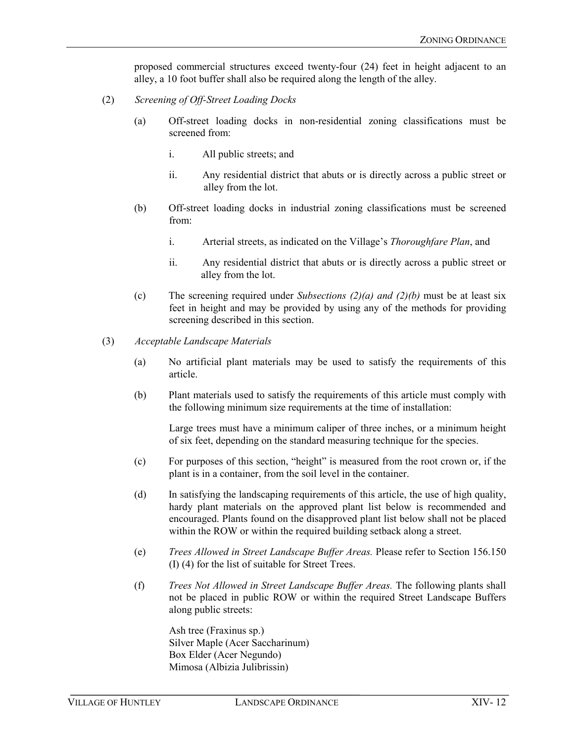proposed commercial structures exceed twenty-four (24) feet in height adjacent to an alley, a 10 foot buffer shall also be required along the length of the alley.

- (2) *Screening of Off-Street Loading Docks*
	- (a) Off-street loading docks in non-residential zoning classifications must be screened from:
		- i. All public streets; and
		- ii. Any residential district that abuts or is directly across a public street or alley from the lot.
	- (b) Off-street loading docks in industrial zoning classifications must be screened from:
		- i. Arterial streets, as indicated on the Village's *Thoroughfare Plan*, and
		- ii. Any residential district that abuts or is directly across a public street or alley from the lot.
	- (c) The screening required under *Subsections (2)(a) and (2)(b)* must be at least six feet in height and may be provided by using any of the methods for providing screening described in this section.
- (3) *Acceptable Landscape Materials*
	- (a) No artificial plant materials may be used to satisfy the requirements of this article.
	- (b) Plant materials used to satisfy the requirements of this article must comply with the following minimum size requirements at the time of installation:

Large trees must have a minimum caliper of three inches, or a minimum height of six feet, depending on the standard measuring technique for the species.

- (c) For purposes of this section, "height" is measured from the root crown or, if the plant is in a container, from the soil level in the container.
- (d) In satisfying the landscaping requirements of this article, the use of high quality, hardy plant materials on the approved plant list below is recommended and encouraged. Plants found on the disapproved plant list below shall not be placed within the ROW or within the required building setback along a street.
- (e) *Trees Allowed in Street Landscape Buffer Areas.* Please refer to Section 156.150 (I) (4) for the list of suitable for Street Trees.
- (f) *Trees Not Allowed in Street Landscape Buffer Areas.* The following plants shall not be placed in public ROW or within the required Street Landscape Buffers along public streets:

Ash tree (Fraxinus sp.) Silver Maple (Acer Saccharinum) Box Elder (Acer Negundo) Mimosa (Albizia Julibrissin)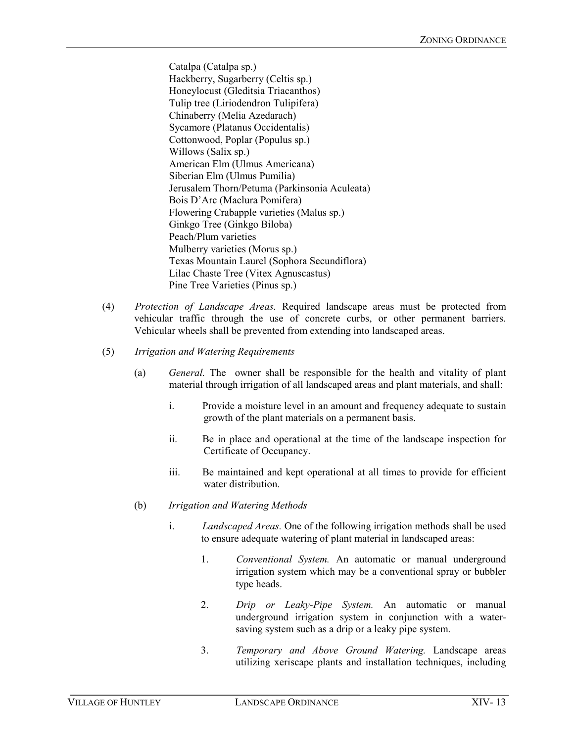Catalpa (Catalpa sp.) Hackberry, Sugarberry (Celtis sp.) Honeylocust (Gleditsia Triacanthos) Tulip tree (Liriodendron Tulipifera) Chinaberry (Melia Azedarach) Sycamore (Platanus Occidentalis) Cottonwood, Poplar (Populus sp.) Willows (Salix sp.) American Elm (Ulmus Americana) Siberian Elm (Ulmus Pumilia) Jerusalem Thorn/Petuma (Parkinsonia Aculeata) Bois D'Arc (Maclura Pomifera) Flowering Crabapple varieties (Malus sp.) Ginkgo Tree (Ginkgo Biloba) Peach/Plum varieties Mulberry varieties (Morus sp.) Texas Mountain Laurel (Sophora Secundiflora) Lilac Chaste Tree (Vitex Agnuscastus) Pine Tree Varieties (Pinus sp.)

- (4) *Protection of Landscape Areas.* Required landscape areas must be protected from vehicular traffic through the use of concrete curbs, or other permanent barriers. Vehicular wheels shall be prevented from extending into landscaped areas.
- (5) *Irrigation and Watering Requirements*
	- (a) *General.* The owner shall be responsible for the health and vitality of plant material through irrigation of all landscaped areas and plant materials, and shall:
		- i. Provide a moisture level in an amount and frequency adequate to sustain growth of the plant materials on a permanent basis.
		- ii. Be in place and operational at the time of the landscape inspection for Certificate of Occupancy.
		- iii. Be maintained and kept operational at all times to provide for efficient water distribution.
	- (b) *Irrigation and Watering Methods*
		- i. *Landscaped Areas.* One of the following irrigation methods shall be used to ensure adequate watering of plant material in landscaped areas:
			- 1. *Conventional System.* An automatic or manual underground irrigation system which may be a conventional spray or bubbler type heads.
			- 2. *Drip or Leaky-Pipe System.* An automatic or manual underground irrigation system in conjunction with a watersaving system such as a drip or a leaky pipe system.
			- 3. *Temporary and Above Ground Watering.* Landscape areas utilizing xeriscape plants and installation techniques, including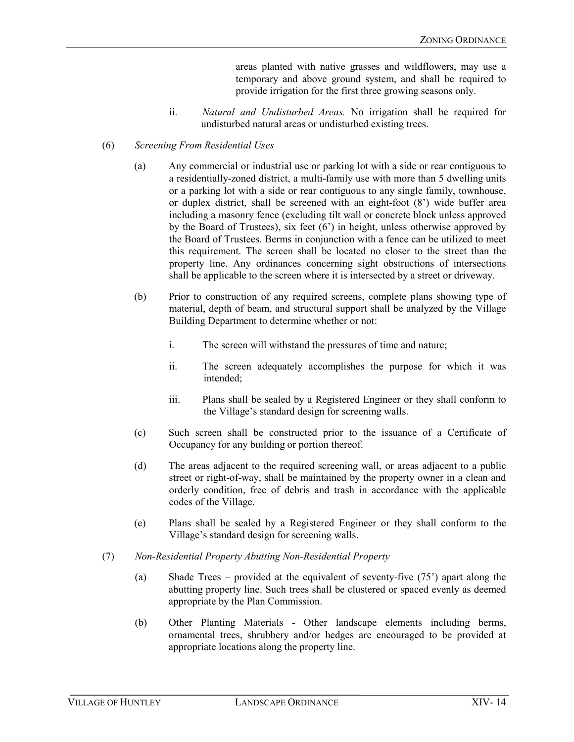areas planted with native grasses and wildflowers, may use a temporary and above ground system, and shall be required to provide irrigation for the first three growing seasons only.

ii. *Natural and Undisturbed Areas.* No irrigation shall be required for undisturbed natural areas or undisturbed existing trees.

#### (6) *Screening From Residential Uses*

- (a) Any commercial or industrial use or parking lot with a side or rear contiguous to a residentially-zoned district, a multi-family use with more than 5 dwelling units or a parking lot with a side or rear contiguous to any single family, townhouse, or duplex district, shall be screened with an eight-foot (8') wide buffer area including a masonry fence (excluding tilt wall or concrete block unless approved by the Board of Trustees), six feet (6') in height, unless otherwise approved by the Board of Trustees. Berms in conjunction with a fence can be utilized to meet this requirement. The screen shall be located no closer to the street than the property line. Any ordinances concerning sight obstructions of intersections shall be applicable to the screen where it is intersected by a street or driveway.
- (b) Prior to construction of any required screens, complete plans showing type of material, depth of beam, and structural support shall be analyzed by the Village Building Department to determine whether or not:
	- i. The screen will withstand the pressures of time and nature;
	- ii. The screen adequately accomplishes the purpose for which it was intended;
	- iii. Plans shall be sealed by a Registered Engineer or they shall conform to the Village's standard design for screening walls.
- (c) Such screen shall be constructed prior to the issuance of a Certificate of Occupancy for any building or portion thereof.
- (d) The areas adjacent to the required screening wall, or areas adjacent to a public street or right-of-way, shall be maintained by the property owner in a clean and orderly condition, free of debris and trash in accordance with the applicable codes of the Village.
- (e) Plans shall be sealed by a Registered Engineer or they shall conform to the Village's standard design for screening walls.
- (7) *Non-Residential Property Abutting Non-Residential Property*
	- (a) Shade Trees provided at the equivalent of seventy-five (75') apart along the abutting property line. Such trees shall be clustered or spaced evenly as deemed appropriate by the Plan Commission.
	- (b) Other Planting Materials Other landscape elements including berms, ornamental trees, shrubbery and/or hedges are encouraged to be provided at appropriate locations along the property line.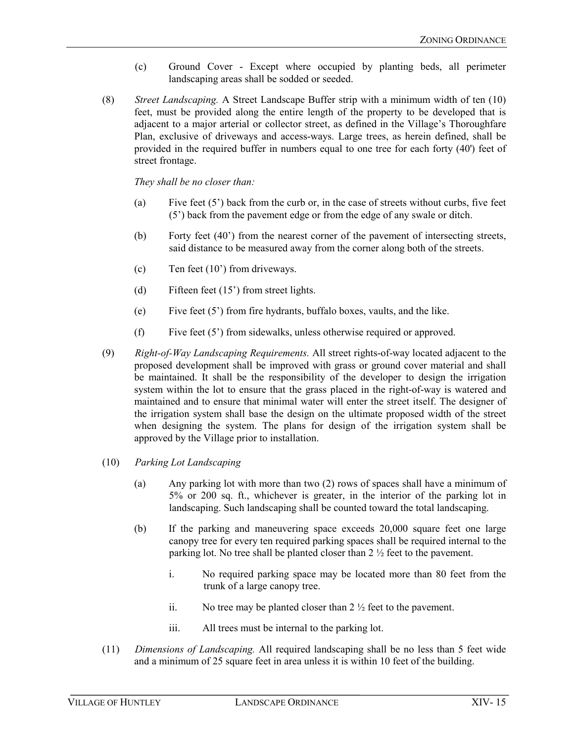- (c) Ground Cover Except where occupied by planting beds, all perimeter landscaping areas shall be sodded or seeded.
- (8) *Street Landscaping.* A Street Landscape Buffer strip with a minimum width of ten (10) feet, must be provided along the entire length of the property to be developed that is adjacent to a major arterial or collector street, as defined in the Village's Thoroughfare Plan, exclusive of driveways and access-ways. Large trees, as herein defined, shall be provided in the required buffer in numbers equal to one tree for each forty (40') feet of street frontage.

*They shall be no closer than:*

- (a) Five feet  $(5')$  back from the curb or, in the case of streets without curbs, five feet (5') back from the pavement edge or from the edge of any swale or ditch.
- (b) Forty feet (40') from the nearest corner of the pavement of intersecting streets, said distance to be measured away from the corner along both of the streets.
- (c) Ten feet (10') from driveways.
- (d) Fifteen feet (15') from street lights.
- (e) Five feet (5') from fire hydrants, buffalo boxes, vaults, and the like.
- (f) Five feet (5') from sidewalks, unless otherwise required or approved.
- (9) *Right-of-Way Landscaping Requirements.* All street rights-of-way located adjacent to the proposed development shall be improved with grass or ground cover material and shall be maintained. It shall be the responsibility of the developer to design the irrigation system within the lot to ensure that the grass placed in the right-of-way is watered and maintained and to ensure that minimal water will enter the street itself. The designer of the irrigation system shall base the design on the ultimate proposed width of the street when designing the system. The plans for design of the irrigation system shall be approved by the Village prior to installation.
- (10) *Parking Lot Landscaping*
	- (a) Any parking lot with more than two (2) rows of spaces shall have a minimum of 5% or 200 sq. ft., whichever is greater, in the interior of the parking lot in landscaping. Such landscaping shall be counted toward the total landscaping.
	- (b) If the parking and maneuvering space exceeds 20,000 square feet one large canopy tree for every ten required parking spaces shall be required internal to the parking lot. No tree shall be planted closer than 2 ½ feet to the pavement.
		- i. No required parking space may be located more than 80 feet from the trunk of a large canopy tree.
		- ii. No tree may be planted closer than  $2\frac{1}{2}$  feet to the pavement.
		- iii. All trees must be internal to the parking lot.
- (11) *Dimensions of Landscaping.* All required landscaping shall be no less than 5 feet wide and a minimum of 25 square feet in area unless it is within 10 feet of the building.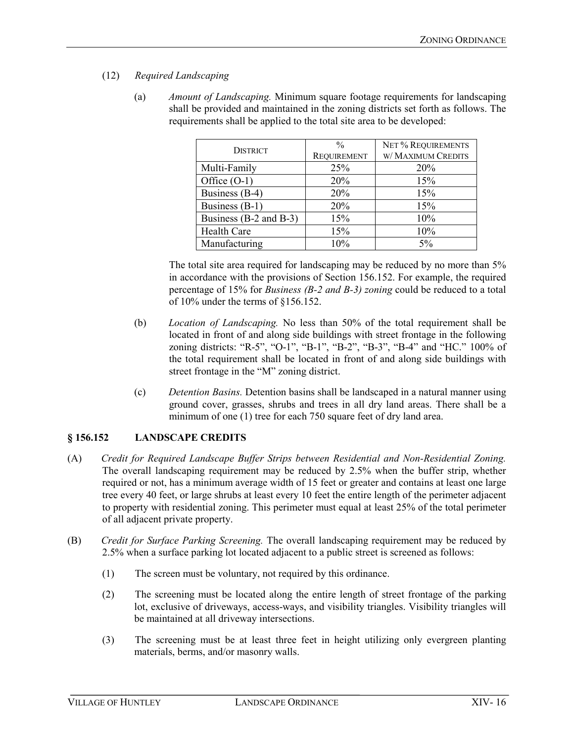- (12) *Required Landscaping*
	- (a) *Amount of Landscaping.* Minimum square footage requirements for landscaping shall be provided and maintained in the zoning districts set forth as follows. The requirements shall be applied to the total site area to be developed:

| <b>DISTRICT</b>        | $\frac{0}{0}$      | NET% REQUIREMENTS  |
|------------------------|--------------------|--------------------|
|                        | <b>REQUIREMENT</b> | W/ MAXIMUM CREDITS |
| Multi-Family           | 25%                | 20%                |
| Office $(O-1)$         | 20%                | 15%                |
| Business (B-4)         | 20%                | 15%                |
| Business (B-1)         | 20%                | 15%                |
| Business (B-2 and B-3) | 15%                | 10%                |
| <b>Health Care</b>     | 15%                | 10%                |
| Manufacturing          | 10%                | 5%                 |

The total site area required for landscaping may be reduced by no more than 5% in accordance with the provisions of Section 156.152. For example, the required percentage of 15% for *Business (B-2 and B-3) zoning* could be reduced to a total of 10% under the terms of §156.152.

- (b) *Location of Landscaping.* No less than 50% of the total requirement shall be located in front of and along side buildings with street frontage in the following zoning districts: "R-5", "O-1", "B-1", "B-2", "B-3", "B-4" and "HC." 100% of the total requirement shall be located in front of and along side buildings with street frontage in the "M" zoning district.
- (c) *Detention Basins.* Detention basins shall be landscaped in a natural manner using ground cover, grasses, shrubs and trees in all dry land areas. There shall be a minimum of one (1) tree for each 750 square feet of dry land area.

# **§ 156.152 LANDSCAPE CREDITS**

- (A) *Credit for Required Landscape Buffer Strips between Residential and Non-Residential Zoning.*  The overall landscaping requirement may be reduced by 2.5% when the buffer strip, whether required or not, has a minimum average width of 15 feet or greater and contains at least one large tree every 40 feet, or large shrubs at least every 10 feet the entire length of the perimeter adjacent to property with residential zoning. This perimeter must equal at least 25% of the total perimeter of all adjacent private property.
- (B) *Credit for Surface Parking Screening.* The overall landscaping requirement may be reduced by 2.5% when a surface parking lot located adjacent to a public street is screened as follows:
	- (1) The screen must be voluntary, not required by this ordinance.
	- (2) The screening must be located along the entire length of street frontage of the parking lot, exclusive of driveways, access-ways, and visibility triangles. Visibility triangles will be maintained at all driveway intersections.
	- (3) The screening must be at least three feet in height utilizing only evergreen planting materials, berms, and/or masonry walls.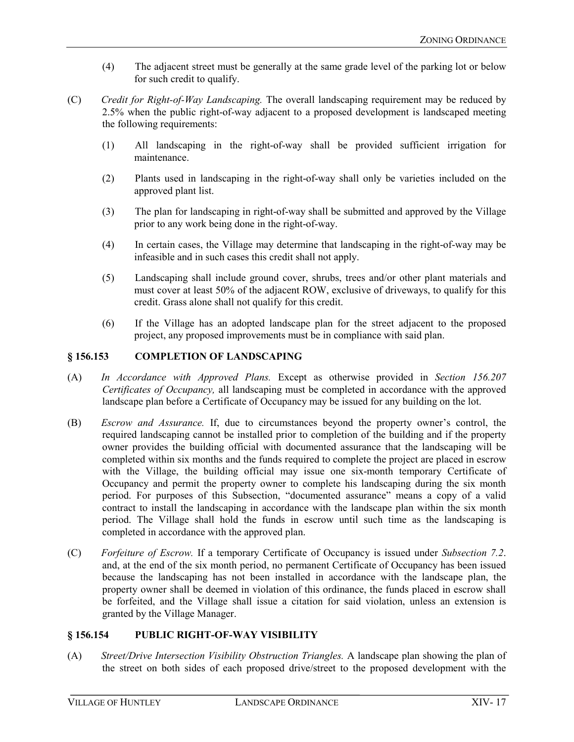- (4) The adjacent street must be generally at the same grade level of the parking lot or below for such credit to qualify.
- (C) *Credit for Right-of-Way Landscaping.* The overall landscaping requirement may be reduced by 2.5% when the public right-of-way adjacent to a proposed development is landscaped meeting the following requirements:
	- (1) All landscaping in the right-of-way shall be provided sufficient irrigation for maintenance.
	- (2) Plants used in landscaping in the right-of-way shall only be varieties included on the approved plant list.
	- (3) The plan for landscaping in right-of-way shall be submitted and approved by the Village prior to any work being done in the right-of-way.
	- (4) In certain cases, the Village may determine that landscaping in the right-of-way may be infeasible and in such cases this credit shall not apply.
	- (5) Landscaping shall include ground cover, shrubs, trees and/or other plant materials and must cover at least 50% of the adjacent ROW, exclusive of driveways, to qualify for this credit. Grass alone shall not qualify for this credit.
	- (6) If the Village has an adopted landscape plan for the street adjacent to the proposed project, any proposed improvements must be in compliance with said plan.

# **§ 156.153 COMPLETION OF LANDSCAPING**

- (A) *In Accordance with Approved Plans.* Except as otherwise provided in *Section 156.207 Certificates of Occupancy,* all landscaping must be completed in accordance with the approved landscape plan before a Certificate of Occupancy may be issued for any building on the lot.
- (B) *Escrow and Assurance.* If, due to circumstances beyond the property owner's control, the required landscaping cannot be installed prior to completion of the building and if the property owner provides the building official with documented assurance that the landscaping will be completed within six months and the funds required to complete the project are placed in escrow with the Village, the building official may issue one six-month temporary Certificate of Occupancy and permit the property owner to complete his landscaping during the six month period. For purposes of this Subsection, "documented assurance" means a copy of a valid contract to install the landscaping in accordance with the landscape plan within the six month period. The Village shall hold the funds in escrow until such time as the landscaping is completed in accordance with the approved plan.
- (C) *Forfeiture of Escrow.* If a temporary Certificate of Occupancy is issued under *Subsection 7.2*. and, at the end of the six month period, no permanent Certificate of Occupancy has been issued because the landscaping has not been installed in accordance with the landscape plan, the property owner shall be deemed in violation of this ordinance, the funds placed in escrow shall be forfeited, and the Village shall issue a citation for said violation, unless an extension is granted by the Village Manager.

#### **§ 156.154 PUBLIC RIGHT-OF-WAY VISIBILITY**

(A) *Street/Drive Intersection Visibility Obstruction Triangles.* A landscape plan showing the plan of the street on both sides of each proposed drive/street to the proposed development with the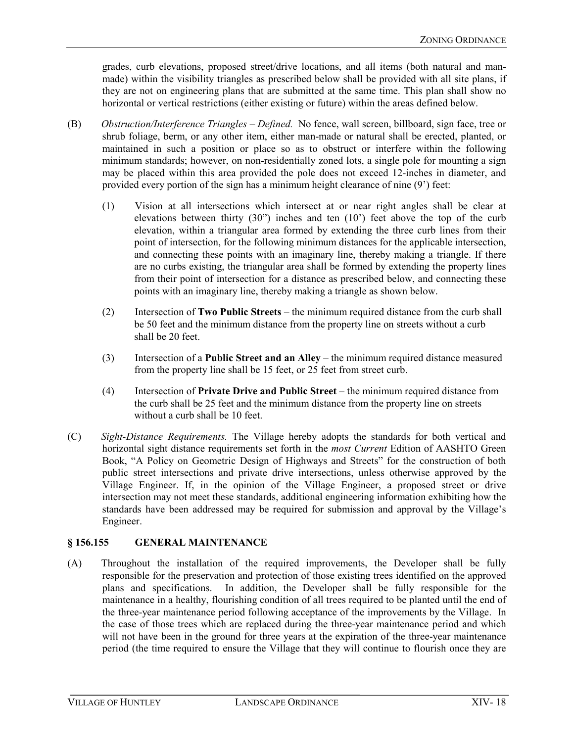grades, curb elevations, proposed street/drive locations, and all items (both natural and manmade) within the visibility triangles as prescribed below shall be provided with all site plans, if they are not on engineering plans that are submitted at the same time. This plan shall show no horizontal or vertical restrictions (either existing or future) within the areas defined below.

- (B) *Obstruction/Interference Triangles – Defined.* No fence, wall screen, billboard, sign face, tree or shrub foliage, berm, or any other item, either man-made or natural shall be erected, planted, or maintained in such a position or place so as to obstruct or interfere within the following minimum standards; however, on non-residentially zoned lots, a single pole for mounting a sign may be placed within this area provided the pole does not exceed 12-inches in diameter, and provided every portion of the sign has a minimum height clearance of nine (9') feet:
	- (1) Vision at all intersections which intersect at or near right angles shall be clear at elevations between thirty (30") inches and ten (10') feet above the top of the curb elevation, within a triangular area formed by extending the three curb lines from their point of intersection, for the following minimum distances for the applicable intersection, and connecting these points with an imaginary line, thereby making a triangle. If there are no curbs existing, the triangular area shall be formed by extending the property lines from their point of intersection for a distance as prescribed below, and connecting these points with an imaginary line, thereby making a triangle as shown below.
	- (2) Intersection of **Two Public Streets**  the minimum required distance from the curb shall be 50 feet and the minimum distance from the property line on streets without a curb shall be 20 feet.
	- (3) Intersection of a **Public Street and an Alley**  the minimum required distance measured from the property line shall be 15 feet, or 25 feet from street curb.
	- (4) Intersection of **Private Drive and Public Street**  the minimum required distance from the curb shall be 25 feet and the minimum distance from the property line on streets without a curb shall be 10 feet.
- (C) *Sight-Distance Requirements.* The Village hereby adopts the standards for both vertical and horizontal sight distance requirements set forth in the *most Current* Edition of AASHTO Green Book, "A Policy on Geometric Design of Highways and Streets" for the construction of both public street intersections and private drive intersections, unless otherwise approved by the Village Engineer. If, in the opinion of the Village Engineer, a proposed street or drive intersection may not meet these standards, additional engineering information exhibiting how the standards have been addressed may be required for submission and approval by the Village's Engineer.

#### **§ 156.155 GENERAL MAINTENANCE**

(A) Throughout the installation of the required improvements, the Developer shall be fully responsible for the preservation and protection of those existing trees identified on the approved plans and specifications. In addition, the Developer shall be fully responsible for the maintenance in a healthy, flourishing condition of all trees required to be planted until the end of the three-year maintenance period following acceptance of the improvements by the Village. In the case of those trees which are replaced during the three-year maintenance period and which will not have been in the ground for three years at the expiration of the three-year maintenance period (the time required to ensure the Village that they will continue to flourish once they are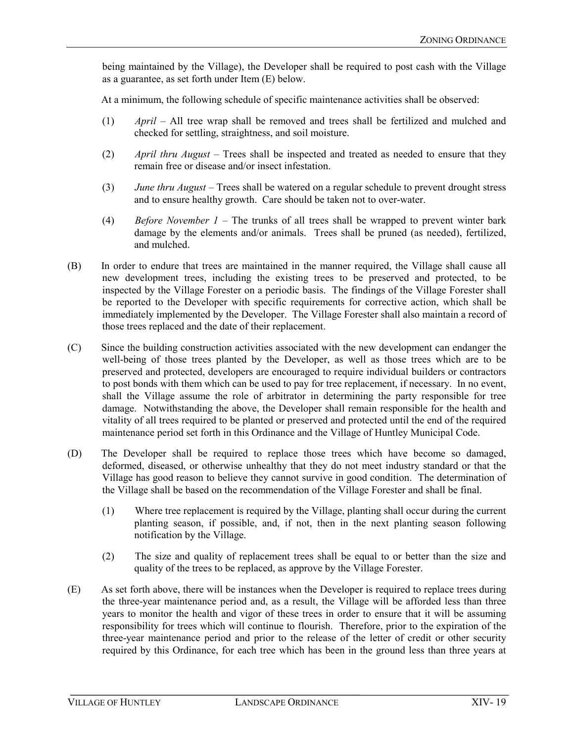being maintained by the Village), the Developer shall be required to post cash with the Village as a guarantee, as set forth under Item (E) below.

At a minimum, the following schedule of specific maintenance activities shall be observed:

- (1) *April* All tree wrap shall be removed and trees shall be fertilized and mulched and checked for settling, straightness, and soil moisture.
- (2) *April thru August* Trees shall be inspected and treated as needed to ensure that they remain free or disease and/or insect infestation.
- (3) *June thru August* Trees shall be watered on a regular schedule to prevent drought stress and to ensure healthy growth. Care should be taken not to over-water.
- (4) *Before November 1* The trunks of all trees shall be wrapped to prevent winter bark damage by the elements and/or animals. Trees shall be pruned (as needed), fertilized, and mulched.
- (B) In order to endure that trees are maintained in the manner required, the Village shall cause all new development trees, including the existing trees to be preserved and protected, to be inspected by the Village Forester on a periodic basis. The findings of the Village Forester shall be reported to the Developer with specific requirements for corrective action, which shall be immediately implemented by the Developer. The Village Forester shall also maintain a record of those trees replaced and the date of their replacement.
- (C) Since the building construction activities associated with the new development can endanger the well-being of those trees planted by the Developer, as well as those trees which are to be preserved and protected, developers are encouraged to require individual builders or contractors to post bonds with them which can be used to pay for tree replacement, if necessary. In no event, shall the Village assume the role of arbitrator in determining the party responsible for tree damage. Notwithstanding the above, the Developer shall remain responsible for the health and vitality of all trees required to be planted or preserved and protected until the end of the required maintenance period set forth in this Ordinance and the Village of Huntley Municipal Code.
- (D) The Developer shall be required to replace those trees which have become so damaged, deformed, diseased, or otherwise unhealthy that they do not meet industry standard or that the Village has good reason to believe they cannot survive in good condition. The determination of the Village shall be based on the recommendation of the Village Forester and shall be final.
	- (1) Where tree replacement is required by the Village, planting shall occur during the current planting season, if possible, and, if not, then in the next planting season following notification by the Village.
	- (2) The size and quality of replacement trees shall be equal to or better than the size and quality of the trees to be replaced, as approve by the Village Forester.
- (E) As set forth above, there will be instances when the Developer is required to replace trees during the three-year maintenance period and, as a result, the Village will be afforded less than three years to monitor the health and vigor of these trees in order to ensure that it will be assuming responsibility for trees which will continue to flourish. Therefore, prior to the expiration of the three-year maintenance period and prior to the release of the letter of credit or other security required by this Ordinance, for each tree which has been in the ground less than three years at